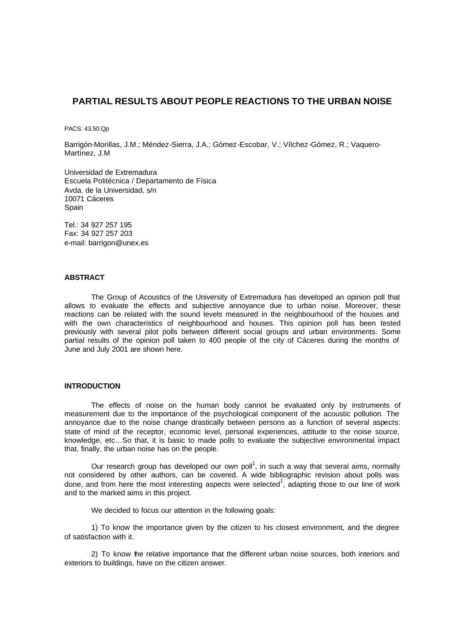# **PARTIAL RESULTS ABOUT PEOPLE REACTIONS TO THE URBAN NOISE**

PACS: 43.50.Qp

Barrigón-Morillas, J.M.; Méndez-Sierra, J.A.; Gómez-Escobar, V.; Vílchez-Gómez, R.; Vaquero-Martínez, J.M

Universidad de Extremadura Escuela Politécnica / Departamento de Física Avda. de la Universidad, s/n 10071 Cáceres Spain

Tel.: 34 927 257 195 Fax: 34 927 257 203 e-mail: barrigon@unex.es

#### **ABSTRACT**

The Group of Acoustics of the University of Extremadura has developed an opinion poll that allows to evaluate the effects and subjective annoyance due to urban noise. Moreover, these reactions can be related with the sound levels measured in the neighbourhood of the houses and with the own characteristics of neighbourhood and houses. This opinion poll has been tested previously with several pilot polls between different social groups and urban environments. Some partial results of the opinion poll taken to 400 people of the city of Cáceres during the months of June and July 2001 are shown here.

### **INTRODUCTION**

The effects of noise on the human body cannot be evaluated only by instruments of measurement due to the importance of the psychological component of the acoustic pollution. The annoyance due to the noise change drastically between persons as a function of several aspects: state of mind of the receptor, economic level, personal experiences, attitude to the noise source, knowledge, etc…So that, it is basic to made polls to evaluate the subjective environmental impact that, finally, the urban noise has on the people.

Our research group has developed our own poll<sup>1</sup>, in such a way that several aims, normally not considered by other authors, can be covered. A wide bibliographic revision about polls was done, and from here the most interesting aspects were selected<sup>1</sup>, adapting those to our line of work and to the marked aims in this project.

We decided to focus our attention in the following goals:

1) To know the importance given by the citizen to his closest environment, and the degree of satisfaction with it.

2) To know the relative importance that the different urban noise sources, both interiors and exteriors to buildings, have on the citizen answer.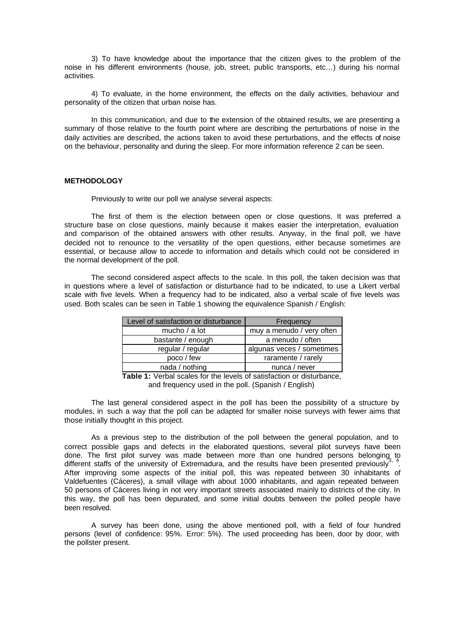3) To have knowledge about the importance that the citizen gives to the problem of the noise in his different environments (house, job, street, public transports, etc…) during his normal activities.

4) To evaluate, in the home environment, the effects on the daily activities, behaviour and personality of the citizen that urban noise has.

In this communication, and due to the extension of the obtained results, we are presenting a summary of those relative to the fourth point where are describing the perturbations of noise in the daily activities are described, the actions taken to avoid these perturbations, and the effects of noise on the behaviour, personality and during the sleep. For more information reference 2 can be seen.

### **METHODOLOGY**

Previously to write our poll we analyse several aspects:

The first of them is the election between open or close questions. It was preferred a structure base on close questions, mainly because it makes easier the interpretation, evaluation and comparison of the obtained answers with other results. Anyway, in the final poll, we have decided not to renounce to the versatility of the open questions, either because sometimes are essential, or because allow to accede to information and details which could not be considered in the normal development of the poll.

The second considered aspect affects to the scale. In this poll, the taken decision was that in questions where a level of satisfaction or disturbance had to be indicated, to use a Likert verbal scale with five levels. When a frequency had to be indicated, also a verbal scale of five levels was used. Both scales can be seen in Table 1 showing the equivalence Spanish / English:

| Level of satisfaction or disturbance | Frequency                 |
|--------------------------------------|---------------------------|
| mucho / a lot                        | muy a menudo / very often |
| bastante / enough                    | a menudo / often          |
| regular / regular                    | algunas veces / sometimes |
| poco / few                           | raramente / rarely        |
| nada / nothing                       | nunca / never             |

**Table 1:** Verbal scales for the levels of satisfaction or disturbance, and frequency used in the poll. (Spanish / English)

The last general considered aspect in the poll has been the possibility of a structure by modules, in such a way that the poll can be adapted for smaller noise surveys with fewer aims that those initially thought in this project.

As a previous step to the distribution of the poll between the general population, and to correct possible gaps and defects in the elaborated questions, several pilot surveys have been done. The first pilot survey was made between more than one hundred persons belonging to different staffs of the university of Extremadura, and the results have been presented previously<sup>3</sup> . After improving some aspects of the initial poll, this was repeated between 30 inhabitants of Valdefuentes (Cáceres), a small village with about 1000 inhabitants, and again repeated between 50 persons of Cáceres living in not very important streets associated mainly to districts of the city. In this way, the poll has been depurated, and some initial doubts between the polled people have been resolved.

A survey has been done, using the above mentioned poll, with a field of four hundred persons (level of confidence: 95%. Error: 5%). The used proceeding has been, door by door, with the pollster present.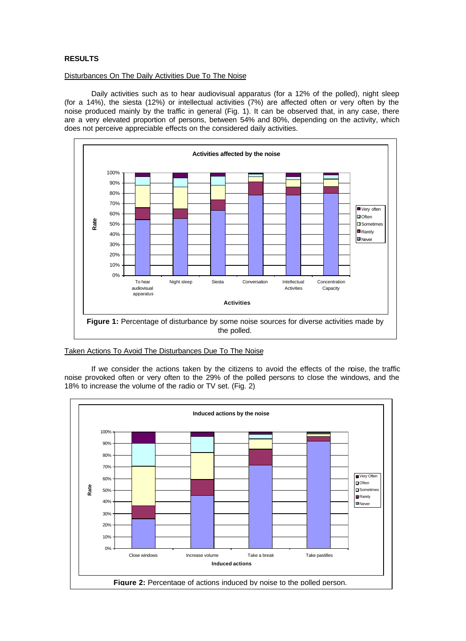# **RESULTS**

#### Disturbances On The Daily Activities Due To The Noise

Daily activities such as to hear audiovisual apparatus (for a 12% of the polled), night sleep (for a 14%), the siesta (12%) or intellectual activities (7%) are affected often or very often by the noise produced mainly by the traffic in general (Fig. 1). It can be observed that, in any case, there are a very elevated proportion of persons, between 54% and 80%, depending on the activity, which does not perceive appreciable effects on the considered daily activities.



### Taken Actions To Avoid The Disturbances Due To The Noise

If we consider the actions taken by the citizens to avoid the effects of the noise, the traffic noise provoked often or very often to the 29% of the polled persons to close the windows, and the 18% to increase the volume of the radio or TV set. (Fig. 2)

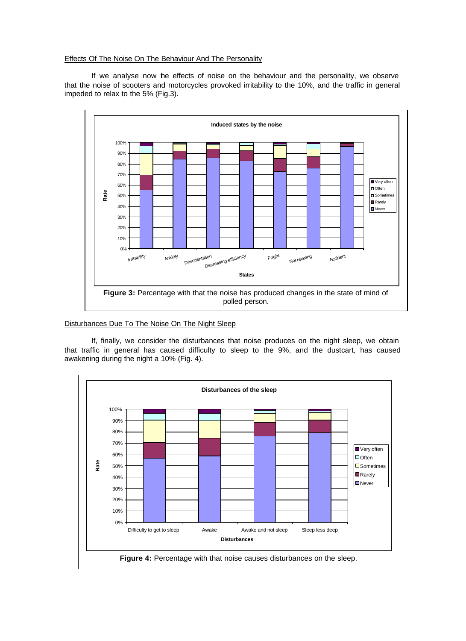## Effects Of The Noise On The Behaviour And The Personality

If we analyse now the effects of noise on the behaviour and the personality, we observe that the noise of scooters and motorcycles provoked irritability to the 10%, and the traffic in general impeded to relax to the 5% (Fig.3).



# Disturbances Due To The Noise On The Night Sleep

If, finally, we consider the disturbances that noise produces on the night sleep, we obtain that traffic in general has caused difficulty to sleep to the 9%, and the dustcart, has caused awakening during the night a 10% (Fig. 4).

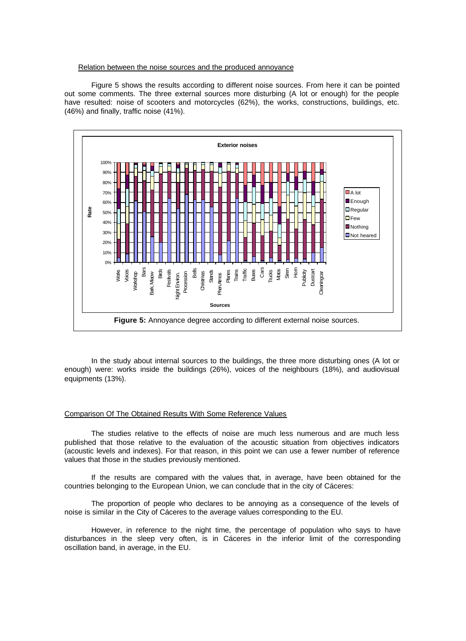#### Relation between the noise sources and the produced annoyance

Figure 5 shows the results according to different noise sources. From here it can be pointed out some comments. The three external sources more disturbing (A lot or enough) for the people have resulted: noise of scooters and motorcycles (62%), the works, constructions, buildings, etc. (46%) and finally, traffic noise (41%).



In the study about internal sources to the buildings, the three more disturbing ones (A lot or enough) were: works inside the buildings (26%), voices of the neighbours (18%), and audiovisual equipments (13%).

### Comparison Of The Obtained Results With Some Reference Values

The studies relative to the effects of noise are much less numerous and are much less published that those relative to the evaluation of the acoustic situation from objectives indicators (acoustic levels and indexes). For that reason, in this point we can use a fewer number of reference values that those in the studies previously mentioned.

If the results are compared with the values that, in average, have been obtained for the countries belonging to the European Union, we can conclude that in the city of Cáceres:

The proportion of people who declares to be annoying as a consequence of the levels of noise is similar in the City of Cáceres to the average values corresponding to the EU.

However, in reference to the night time, the percentage of population who says to have disturbances in the sleep very often, is in Cáceres in the inferior limit of the corresponding oscillation band, in average, in the EU.